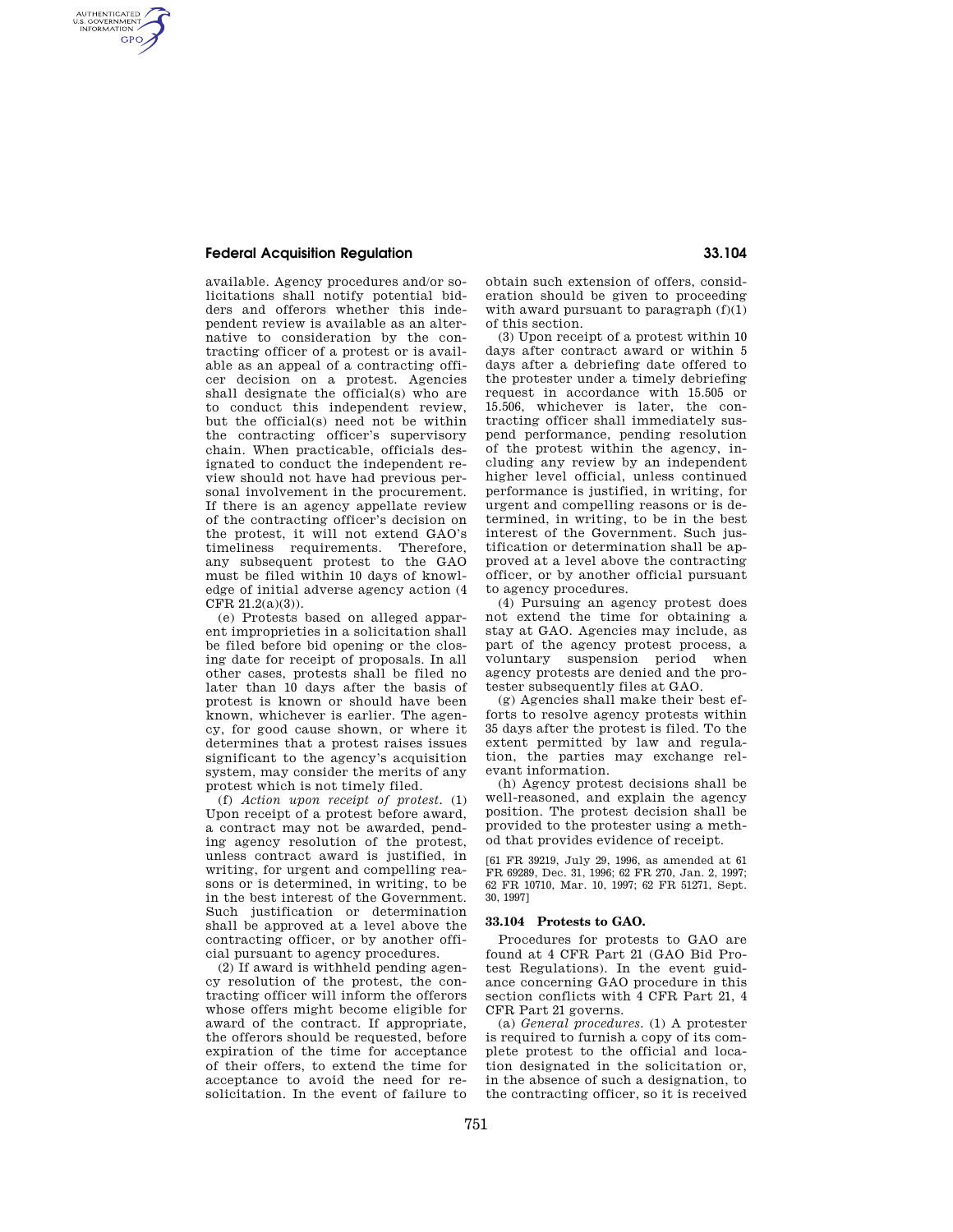## **Federal Acquisition Regulation 33.104**

AUTHENTICATED<br>U.S. GOVERNMENT<br>INFORMATION **GPO** 

> available. Agency procedures and/or solicitations shall notify potential bidders and offerors whether this independent review is available as an alternative to consideration by the contracting officer of a protest or is available as an appeal of a contracting officer decision on a protest. Agencies shall designate the official(s) who are to conduct this independent review, but the official(s) need not be within the contracting officer's supervisory chain. When practicable, officials designated to conduct the independent review should not have had previous personal involvement in the procurement. If there is an agency appellate review of the contracting officer's decision on the protest, it will not extend GAO's timeliness requirements. Therefore, any subsequent protest to the GAO must be filed within 10 days of knowledge of initial adverse agency action (4 CFR 21.2(a)(3)).

> (e) Protests based on alleged apparent improprieties in a solicitation shall be filed before bid opening or the closing date for receipt of proposals. In all other cases, protests shall be filed no later than 10 days after the basis of protest is known or should have been known, whichever is earlier. The agency, for good cause shown, or where it determines that a protest raises issues significant to the agency's acquisition system, may consider the merits of any protest which is not timely filed.

> (f) *Action upon receipt of protest.* (1) Upon receipt of a protest before award, a contract may not be awarded, pending agency resolution of the protest, unless contract award is justified, in writing, for urgent and compelling reasons or is determined, in writing, to be in the best interest of the Government. Such justification or determination shall be approved at a level above the contracting officer, or by another official pursuant to agency procedures.

> (2) If award is withheld pending agency resolution of the protest, the contracting officer will inform the offerors whose offers might become eligible for award of the contract. If appropriate the offerors should be requested, before expiration of the time for acceptance of their offers, to extend the time for acceptance to avoid the need for resolicitation. In the event of failure to

obtain such extension of offers, consideration should be given to proceeding with award pursuant to paragraph  $(f)(1)$ of this section.

(3) Upon receipt of a protest within 10 days after contract award or within 5 days after a debriefing date offered to the protester under a timely debriefing request in accordance with 15.505 or 15.506, whichever is later, the contracting officer shall immediately suspend performance, pending resolution of the protest within the agency, including any review by an independent higher level official, unless continued performance is justified, in writing, for urgent and compelling reasons or is determined, in writing, to be in the best interest of the Government. Such justification or determination shall be approved at a level above the contracting officer, or by another official pursuant to agency procedures.

(4) Pursuing an agency protest does not extend the time for obtaining a stay at GAO. Agencies may include, as part of the agency protest process, a voluntary suspension period when agency protests are denied and the protester subsequently files at GAO.

(g) Agencies shall make their best efforts to resolve agency protests within 35 days after the protest is filed. To the extent permitted by law and regulation, the parties may exchange relevant information.

(h) Agency protest decisions shall be well-reasoned, and explain the agency position. The protest decision shall be provided to the protester using a method that provides evidence of receipt.

[61 FR 39219, July 29, 1996, as amended at 61 FR 69289, Dec. 31, 1996; 62 FR 270, Jan. 2, 1997; 62 FR 10710, Mar. 10, 1997; 62 FR 51271, Sept. 30, 1997]

### **33.104 Protests to GAO.**

Procedures for protests to GAO are found at 4 CFR Part 21 (GAO Bid Protest Regulations). In the event guidance concerning GAO procedure in this section conflicts with 4 CFR Part 21, 4 CFR Part 21 governs.

(a) *General procedures.* (1) A protester is required to furnish a copy of its complete protest to the official and location designated in the solicitation or, in the absence of such a designation, to the contracting officer, so it is received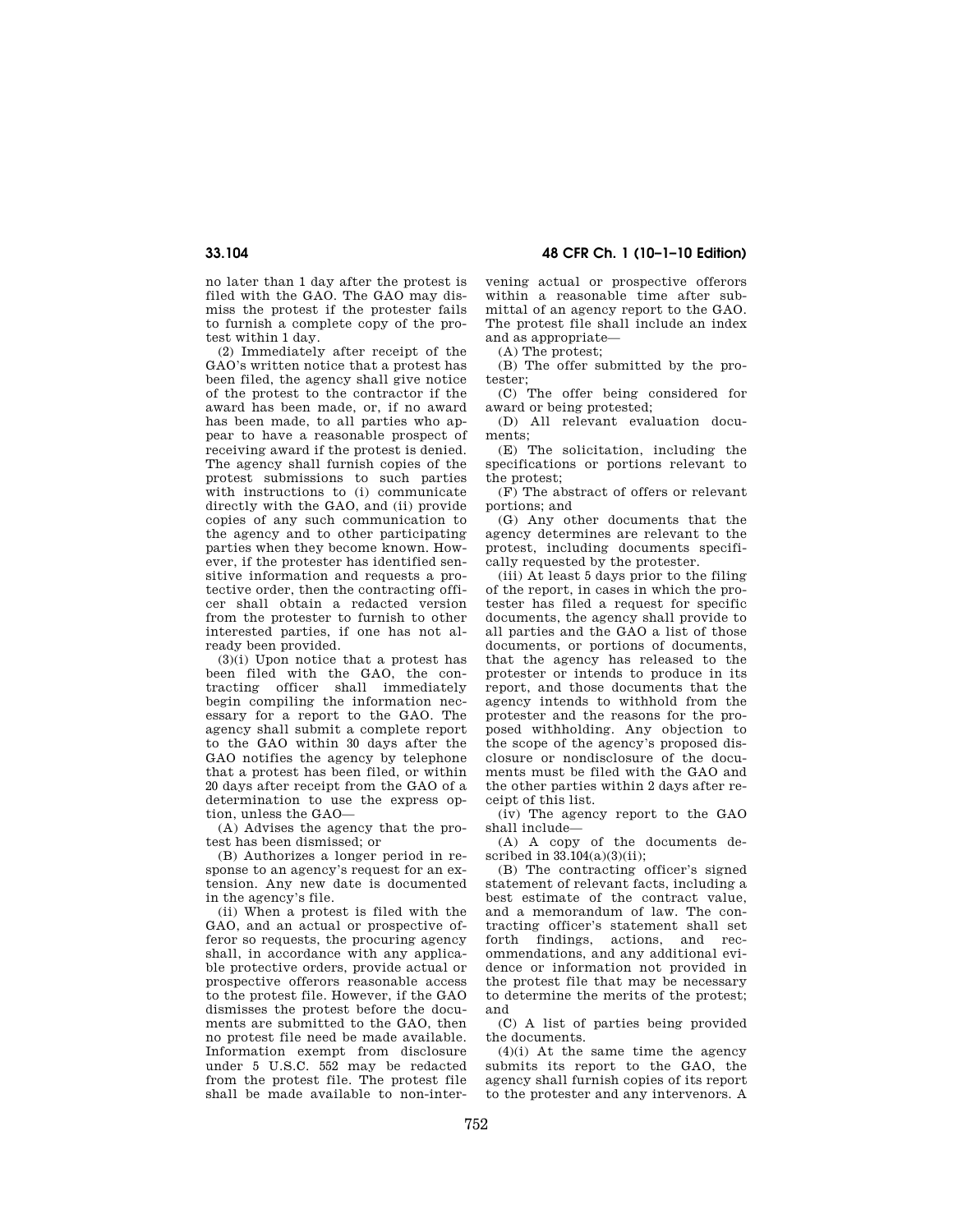no later than 1 day after the protest is filed with the GAO. The GAO may dismiss the protest if the protester fails to furnish a complete copy of the protest within 1 day.

(2) Immediately after receipt of the GAO's written notice that a protest has been filed, the agency shall give notice of the protest to the contractor if the award has been made, or, if no award has been made, to all parties who appear to have a reasonable prospect of receiving award if the protest is denied. The agency shall furnish copies of the protest submissions to such parties with instructions to (i) communicate directly with the GAO, and (ii) provide copies of any such communication to the agency and to other participating parties when they become known. However, if the protester has identified sensitive information and requests a protective order, then the contracting officer shall obtain a redacted version from the protester to furnish to other interested parties, if one has not already been provided.

(3)(i) Upon notice that a protest has been filed with the GAO, the contracting officer shall immediately begin compiling the information necessary for a report to the GAO. The agency shall submit a complete report to the GAO within 30 days after the GAO notifies the agency by telephone that a protest has been filed, or within 20 days after receipt from the GAO of a determination to use the express option, unless the GAO—

(A) Advises the agency that the protest has been dismissed; or

(B) Authorizes a longer period in response to an agency's request for an extension. Any new date is documented in the agency's file.

(ii) When a protest is filed with the GAO, and an actual or prospective offeror so requests, the procuring agency shall, in accordance with any applicable protective orders, provide actual or prospective offerors reasonable access to the protest file. However, if the GAO dismisses the protest before the documents are submitted to the GAO, then no protest file need be made available. Information exempt from disclosure under 5 U.S.C. 552 may be redacted from the protest file. The protest file shall be made available to non-inter-

**33.104 48 CFR Ch. 1 (10–1–10 Edition)** 

vening actual or prospective offerors within a reasonable time after submittal of an agency report to the GAO. The protest file shall include an index and as appropriate—

(A) The protest;

(B) The offer submitted by the protester;

(C) The offer being considered for award or being protested;

(D) All relevant evaluation documents;

(E) The solicitation, including the specifications or portions relevant to the protest;

(F) The abstract of offers or relevant portions; and

(G) Any other documents that the agency determines are relevant to the protest, including documents specifically requested by the protester.

(iii) At least 5 days prior to the filing of the report, in cases in which the protester has filed a request for specific documents, the agency shall provide to all parties and the GAO a list of those documents, or portions of documents, that the agency has released to the protester or intends to produce in its report, and those documents that the agency intends to withhold from the protester and the reasons for the proposed withholding. Any objection to the scope of the agency's proposed disclosure or nondisclosure of the documents must be filed with the GAO and the other parties within 2 days after receipt of this list.

(iv) The agency report to the GAO shall include—

(A) A copy of the documents described in  $33.104(a)(3)(ii)$ :

(B) The contracting officer's signed statement of relevant facts, including a best estimate of the contract value, and a memorandum of law. The contracting officer's statement shall set forth findings, actions, and recommendations, and any additional evidence or information not provided in the protest file that may be necessary to determine the merits of the protest; and

(C) A list of parties being provided the documents.

(4)(i) At the same time the agency submits its report to the GAO, the agency shall furnish copies of its report to the protester and any intervenors. A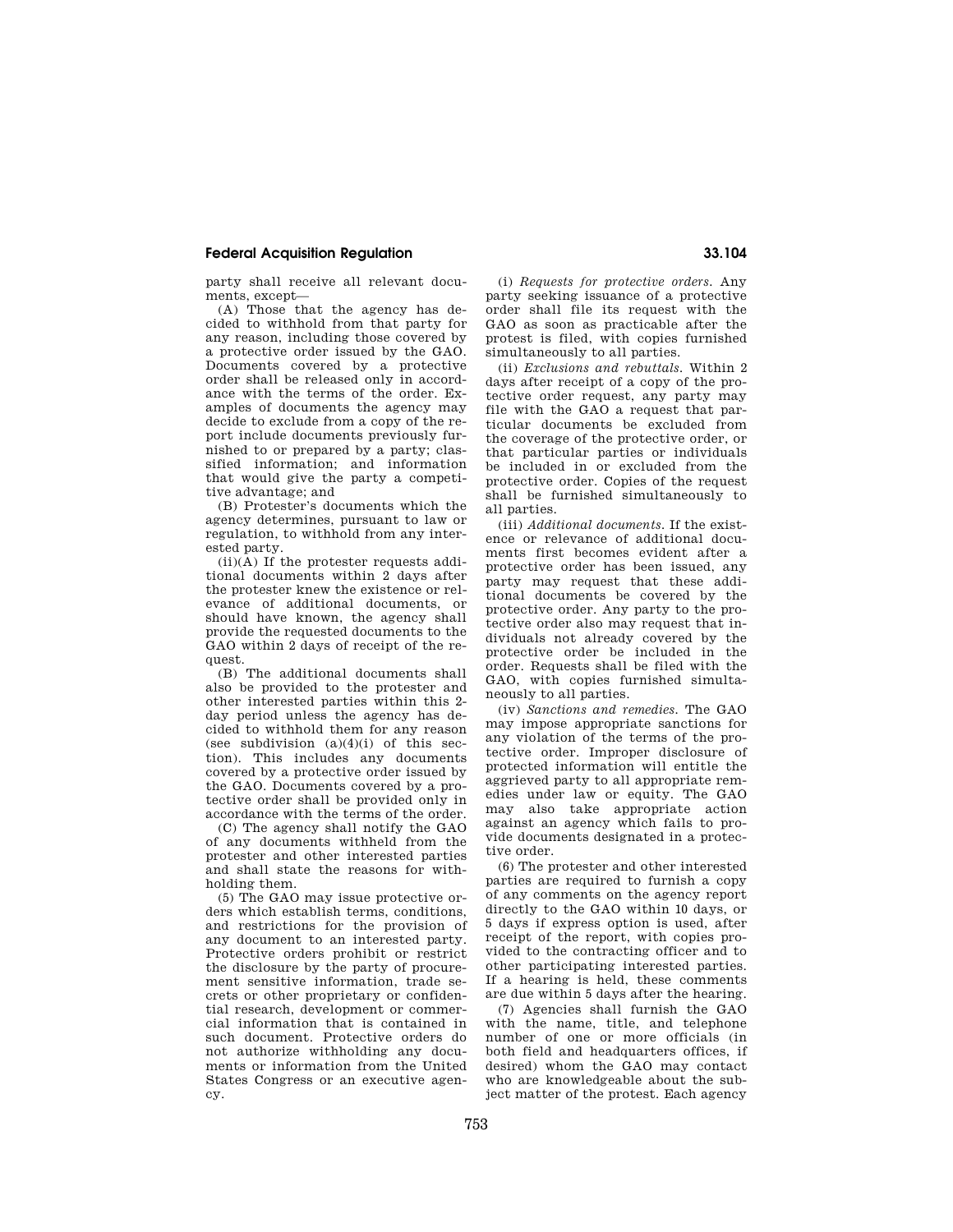# **Federal Acquisition Regulation 33.104**

party shall receive all relevant documents, except—

(A) Those that the agency has decided to withhold from that party for any reason, including those covered by a protective order issued by the GAO. Documents covered by a protective order shall be released only in accordance with the terms of the order. Examples of documents the agency may decide to exclude from a copy of the report include documents previously furnished to or prepared by a party; classified information; and information that would give the party a competitive advantage; and

(B) Protester's documents which the agency determines, pursuant to law or regulation, to withhold from any interested party.

 $(ii)(\overline{A})$  If the protester requests additional documents within 2 days after the protester knew the existence or relevance of additional documents, or should have known, the agency shall provide the requested documents to the GAO within 2 days of receipt of the request.

(B) The additional documents shall also be provided to the protester and other interested parties within this 2 day period unless the agency has decided to withhold them for any reason (see subdivision  $(a)(4)(i)$  of this section). This includes any documents covered by a protective order issued by the GAO. Documents covered by a protective order shall be provided only in accordance with the terms of the order.

(C) The agency shall notify the GAO of any documents withheld from the protester and other interested parties and shall state the reasons for withholding them.

(5) The GAO may issue protective orders which establish terms, conditions, and restrictions for the provision of any document to an interested party. Protective orders prohibit or restrict the disclosure by the party of procurement sensitive information, trade secrets or other proprietary or confidential research, development or commercial information that is contained in such document. Protective orders do not authorize withholding any documents or information from the United States Congress or an executive agency.

(i) *Requests for protective orders.* Any party seeking issuance of a protective order shall file its request with the GAO as soon as practicable after the protest is filed, with copies furnished simultaneously to all parties.

(ii) *Exclusions and rebuttals.* Within 2 days after receipt of a copy of the protective order request, any party may file with the GAO a request that particular documents be excluded from the coverage of the protective order, or that particular parties or individuals be included in or excluded from the protective order. Copies of the request shall be furnished simultaneously to all parties.

(iii) *Additional documents.* If the existence or relevance of additional documents first becomes evident after a protective order has been issued, any party may request that these additional documents be covered by the protective order. Any party to the protective order also may request that individuals not already covered by the protective order be included in the order. Requests shall be filed with the GAO, with copies furnished simultaneously to all parties.

(iv) *Sanctions and remedies.* The GAO may impose appropriate sanctions for any violation of the terms of the protective order. Improper disclosure of protected information will entitle the aggrieved party to all appropriate remedies under law or equity. The GAO may also take appropriate action against an agency which fails to provide documents designated in a protective order.

(6) The protester and other interested parties are required to furnish a copy of any comments on the agency report directly to the GAO within 10 days, or 5 days if express option is used, after receipt of the report, with copies provided to the contracting officer and to other participating interested parties. If a hearing is held, these comments are due within 5 days after the hearing.

(7) Agencies shall furnish the GAO with the name, title, and telephone number of one or more officials (in both field and headquarters offices, if desired) whom the GAO may contact who are knowledgeable about the subject matter of the protest. Each agency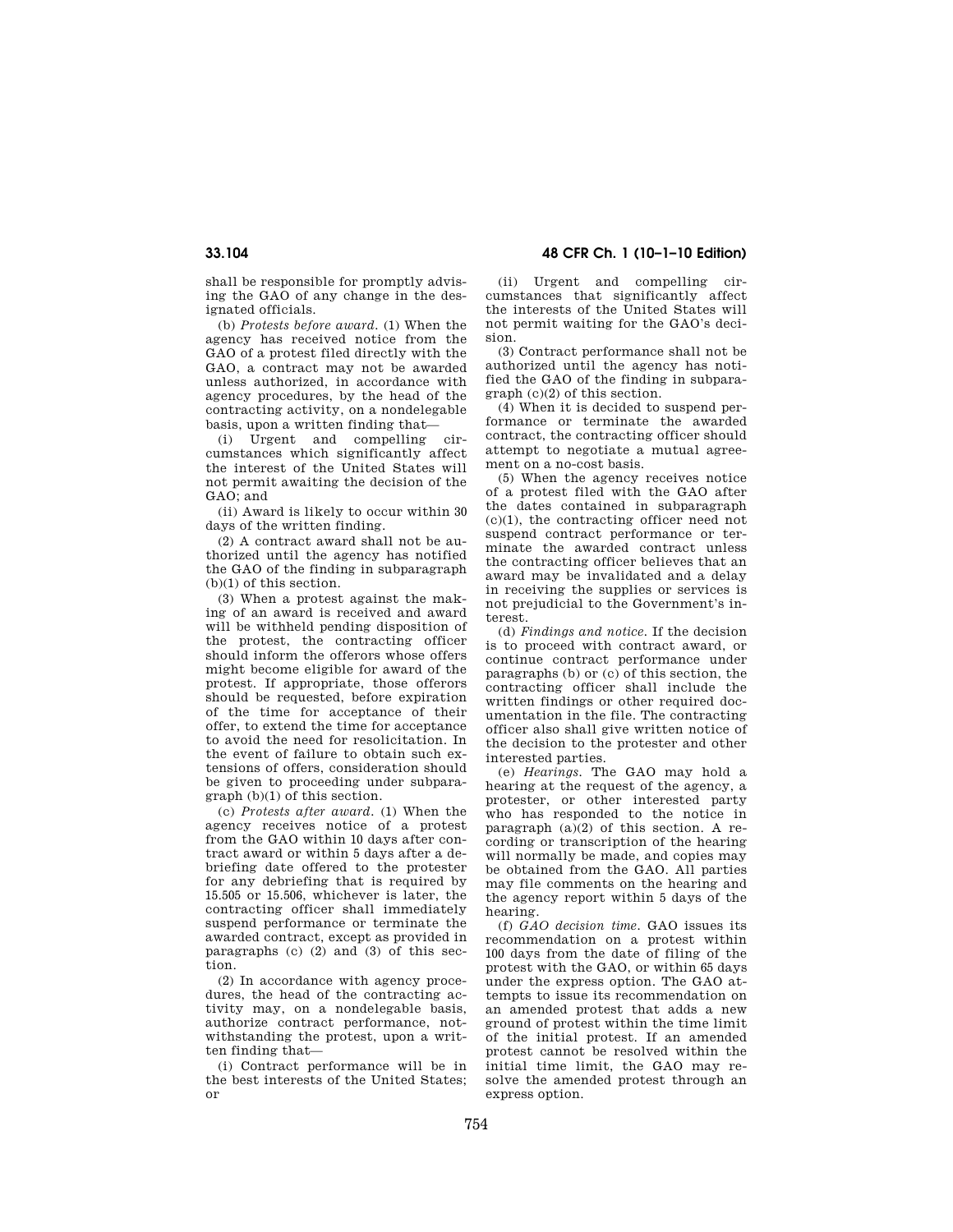shall be responsible for promptly advising the GAO of any change in the designated officials.

(b) *Protests before award.* (1) When the agency has received notice from the GAO of a protest filed directly with the GAO, a contract may not be awarded unless authorized, in accordance with agency procedures, by the head of the contracting activity, on a nondelegable basis, upon a written finding that—

(i) Urgent and compelling circumstances which significantly affect the interest of the United States will not permit awaiting the decision of the GAO; and

(ii) Award is likely to occur within 30 days of the written finding.

(2) A contract award shall not be authorized until the agency has notified the GAO of the finding in subparagraph (b)(1) of this section.

(3) When a protest against the making of an award is received and award will be withheld pending disposition of the protest, the contracting officer should inform the offerors whose offers might become eligible for award of the protest. If appropriate, those offerors should be requested, before expiration of the time for acceptance of their offer, to extend the time for acceptance to avoid the need for resolicitation. In the event of failure to obtain such extensions of offers, consideration should be given to proceeding under subparagraph (b)(1) of this section.

(c) *Protests after award.* (1) When the agency receives notice of a protest from the GAO within 10 days after contract award or within 5 days after a debriefing date offered to the protester for any debriefing that is required by 15.505 or 15.506, whichever is later, the contracting officer shall immediately suspend performance or terminate the awarded contract, except as provided in paragraphs (c) (2) and (3) of this section.

(2) In accordance with agency procedures, the head of the contracting activity may, on a nondelegable basis, authorize contract performance, notwithstanding the protest, upon a written finding that—

(i) Contract performance will be in the best interests of the United States; or

**33.104 48 CFR Ch. 1 (10–1–10 Edition)** 

(ii) Urgent and compelling circumstances that significantly affect the interests of the United States will not permit waiting for the GAO's decision.

(3) Contract performance shall not be authorized until the agency has notified the GAO of the finding in subparagraph (c)(2) of this section.

(4) When it is decided to suspend performance or terminate the awarded contract, the contracting officer should attempt to negotiate a mutual agreement on a no-cost basis.

(5) When the agency receives notice of a protest filed with the GAO after the dates contained in subparagraph (c)(1), the contracting officer need not suspend contract performance or terminate the awarded contract unless the contracting officer believes that an award may be invalidated and a delay in receiving the supplies or services is not prejudicial to the Government's interest.

(d) *Findings and notice.* If the decision is to proceed with contract award, or continue contract performance under paragraphs (b) or (c) of this section, the contracting officer shall include the written findings or other required documentation in the file. The contracting officer also shall give written notice of the decision to the protester and other interested parties.

(e) *Hearings.* The GAO may hold a hearing at the request of the agency, a protester, or other interested party who has responded to the notice in paragraph  $(a)(2)$  of this section. A recording or transcription of the hearing will normally be made, and copies may be obtained from the GAO. All parties may file comments on the hearing and the agency report within 5 days of the hearing.

(f) *GAO decision time.* GAO issues its recommendation on a protest within 100 days from the date of filing of the protest with the GAO, or within 65 days under the express option. The GAO attempts to issue its recommendation on an amended protest that adds a new ground of protest within the time limit of the initial protest. If an amended protest cannot be resolved within the initial time limit, the GAO may resolve the amended protest through an express option.